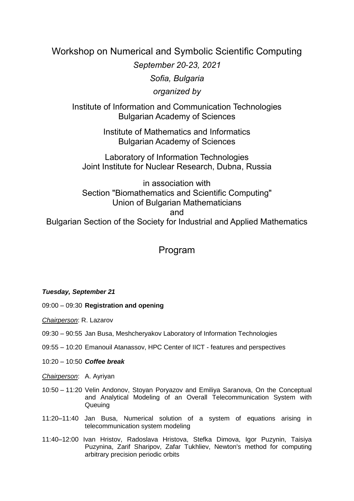# Workshop on Numerical and Symbolic Scientific Computing

*September 20-23, 2021 Sofia, Bulgaria organized by*

Institute of Information and Communication Technologies Bulgarian Academy of Sciences

> Institute of Mathematics and Informatics Bulgarian Academy of Sciences

Laboratory of Information Technologies Joint Institute for Nuclear Research, Dubna, Russia

in association with Section "Biomathematics and Scientific Computing" Union of Bulgarian Mathematicians and Bulgarian Section of the Society for Industrial and Applied Mathematics

# Program

### *Tuesday, September 21*

09:00 – 09:30 **Registration and opening**

*Chairperson*: R. Lazarov

- 09:30 90:55 Jan Busa, Meshcheryakov Laboratory of Information Technologies
- 09:55 10:20 Emanouil Atanassov, HPC Center of IICT features and perspectives
- 10:20 10:50 *Coffee break*
- *Chairperson*: A. Ayriyan
- 10:50 11:20 Velin Andonov, Stoyan Poryazov and Emiliya Saranova, On the Conceptual and Analytical Modeling of an Overall Telecommunication System with **Queuing**
- 11:20–11:40 Jan Busa, Numerical solution of a system of equations arising in telecommunication system modeling
- 11:40–12:00 Ivan Hristov, Radoslava Hristova, Stefka Dimova, Igor Puzynin, Taisiya Puzynina, Zarif Sharipov, Zafar Tukhliev, Newton's method for computing arbitrary precision periodic orbits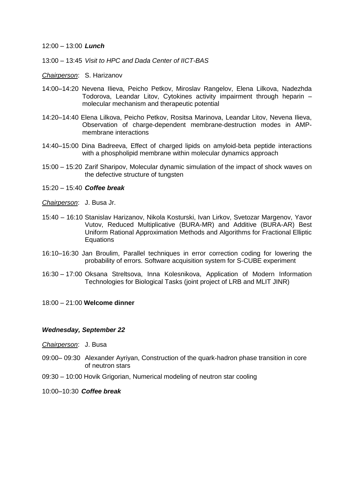#### 12:00 – 13:00 *Lunch*

- 13:00 13:45 *Visit to HPC and Dada Center of IICT-BAS*
- *Chairperson*: S. Harizanov
- 14:00–14:20 Nevena Ilieva, Peicho Petkov, Miroslav Rangelov, Elena Lilkova, Nadezhda Todorova, Leandar Litov, Cytokines activity impairment through heparin – molecular mechanism and therapeutic potential
- 14:20–14:40 Elena Lilkova, Peicho Petkov, Rositsa Marinova, Leandar Litov, Nevena Ilieva, Observation of charge-dependent membrane-destruction modes in AMPmembrane interactions
- 14:40–15:00 Dina Badreeva, Effect of charged lipids on amyloid-beta peptide interactions with a phospholipid membrane within molecular dynamics approach
- 15:00 15:20 Zarif Sharipov, Molecular dynamic simulation of the impact of shock waves on the defective structure of tungsten
- 15:20 15:40 *Coffee break*
- *Chairperson*: J. Busa Jr.
- 15:40 16:10 Stanislav Harizanov, Nikola Kosturski, Ivan Lirkov, Svetozar Margenov, Yavor Vutov, Reduced Multiplicative (BURA-MR) and Additive (BURA-AR) Best Uniform Rational Approximation Methods and Algorithms for Fractional Elliptic **Equations**
- 16:10–16:30 Jan Broulim, Parallel techniques in error correction coding for lowering the probability of errors. Software acquisition system for S-CUBE experiment
- 16:30 17:00 Oksana Streltsova, Inna Kolesnikova, Application of Modern Information Technologies for Biological Tasks (joint project of LRB and MLIT JINR)
- 18:00 21:00 **Welcome dinner**

#### *Wednesday, September 22*

- *Chairperson*: J. Busa
- 09:00– 09:30 Alexander Ayriyan, Construction of the quark-hadron phase transition in core of neutron stars
- 09:30 10:00 Hovik Grigorian, Numerical modeling of neutron star cooling
- 10:00–10:30 *Coffee break*